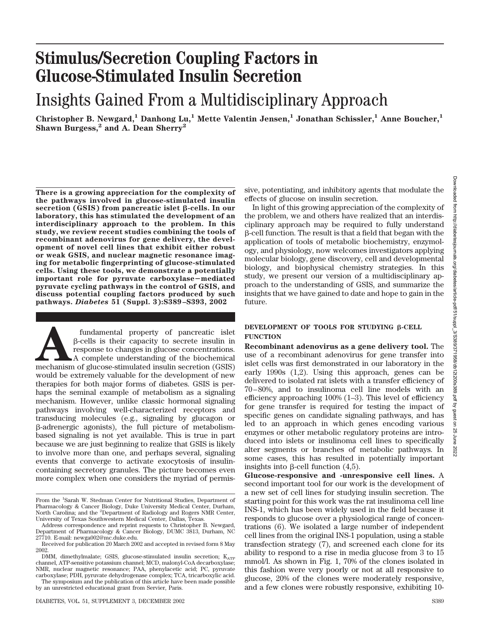# **Stimulus/Secretion Coupling Factors in Glucose-Stimulated Insulin Secretion**

## Insights Gained From a Multidisciplinary Approach

**Christopher B. Newgard,<sup>1</sup> Danhong Lu,<sup>1</sup> Mette Valentin Jensen,<sup>1</sup> Jonathan Schissler,<sup>1</sup> Anne Boucher,<sup>1</sup> Shawn Burgess,<sup>2</sup> and A. Dean Sherry<sup>2</sup>** 

**There is a growing appreciation for the complexity of the pathways involved in glucose-stimulated insulin secretion (GSIS) from pancreatic islet β-cells. In our laboratory, this has stimulated the development of an interdisciplinary approach to the problem. In this study, we review recent studies combining the tools of recombinant adenovirus for gene delivery, the development of novel cell lines that exhibit either robust or weak GSIS, and nuclear magnetic resonance imaging for metabolic fingerprinting of glucose-stimulated cells. Using these tools, we demonstrate a potentially important role for pyruvate carboxylase**-**mediated pyruvate cycling pathways in the control of GSIS, and discuss potential coupling factors produced by such pathways.** *Diabetes* **51 (Suppl. 3):S389–S393, 2002**

fundamental property of pancreatic islet<br>  $\beta$ -cells is their capacity to secrete insulin in<br>
response to changes in glucose concentrations.<br>
A complete understanding of the biochemical<br>
mechanism of glucose-stimulated ins -cells is their capacity to secrete insulin in response to changes in glucose concentrations. A complete understanding of the biochemical would be extremely valuable for the development of new therapies for both major forms of diabetes. GSIS is perhaps the seminal example of metabolism as a signaling mechanism. However, unlike classic hormonal signaling pathways involving well-characterized receptors and transducing molecules (e.g., signaling by glucagon or  $\beta$ -adrenergic agonists), the full picture of metabolismbased signaling is not yet available. This is true in part because we are just beginning to realize that GSIS is likely to involve more than one, and perhaps several, signaling events that converge to activate exocytosis of insulincontaining secretory granules. The picture becomes even more complex when one considers the myriad of permis-

by an unrestricted educational grant from Servier, Paris.

sive, potentiating, and inhibitory agents that modulate the effects of glucose on insulin secretion.

In light of this growing appreciation of the complexity of the problem, we and others have realized that an interdisciplinary approach may be required to fully understand -cell function. The result is that a field that began with the application of tools of metabolic biochemistry, enzymology, and physiology, now welcomes investigators applying molecular biology, gene discovery, cell and developmental biology, and biophysical chemistry strategies. In this study, we present our version of a multidisciplinary approach to the understanding of GSIS, and summarize the insights that we have gained to date and hope to gain in the future.

### **DEVELOPMENT OF TOOLS FOR STUDYING B-CELL FUNCTION**

**Recombinant adenovirus as a gene delivery tool.** The use of a recombinant adenovirus for gene transfer into islet cells was first demonstrated in our laboratory in the early 1990s (1,2). Using this approach, genes can be delivered to isolated rat islets with a transfer efficiency of 70–80%, and to insulinoma cell line models with an efficiency approaching 100% (1–3). This level of efficiency for gene transfer is required for testing the impact of specific genes on candidate signaling pathways, and has led to an approach in which genes encoding various enzymes or other metabolic regulatory proteins are introduced into islets or insulinoma cell lines to specifically alter segments or branches of metabolic pathways. In some cases, this has resulted in potentially important insights into  $\beta$ -cell function  $(4,5)$ .

**Glucose-responsive and -unresponsive cell lines.** A second important tool for our work is the development of a new set of cell lines for studying insulin secretion. The starting point for this work was the rat insulinoma cell line INS-1, which has been widely used in the field because it responds to glucose over a physiological range of concentrations (6). We isolated a large number of independent cell lines from the original INS-1 population, using a stable transfection strategy (7), and screened each clone for its ability to respond to a rise in media glucose from 3 to 15 mmol/l. As shown in Fig. 1, 70% of the clones isolated in this fashion were very poorly or not at all responsive to glucose, 20% of the clones were moderately responsive, and a few clones were robustly responsive, exhibiting 10-

From the <sup>1</sup>Sarah W. Stedman Center for Nutritional Studies, Department of Pharmacology & Cancer Biology, Duke University Medical Center, Durham, North Carolina; and the <sup>2</sup>Department of Radiology and Rogers NMR Center, University of Texas Southwestern Medical Center, Dallas, Texas.

Address correspondence and reprint requests to Christopher B. Newgard, Department of Pharmacology & Cancer Biology, DUMC 3813, Durham, NC 27710. E-mail: newga002@mc.duke.edu.

Received for publication 20 March 2002 and accepted in revised form 8 May 2002.

DMM, dimethylmalate; GSIS, glucose-stimulated insulin secretion;  $\rm K_{ATP}$ channel, ATP-sensitive potassium channel; MCD, malonyl-CoA decarboxylase; NMR, nuclear magnetic resonance; PAA, phenylacetic acid; PC, pyruvate carboxylase; PDH, pyruvate dehydrogenase complex; TCA, tricarboxylic acid. The symposium and the publication of this article have been made possible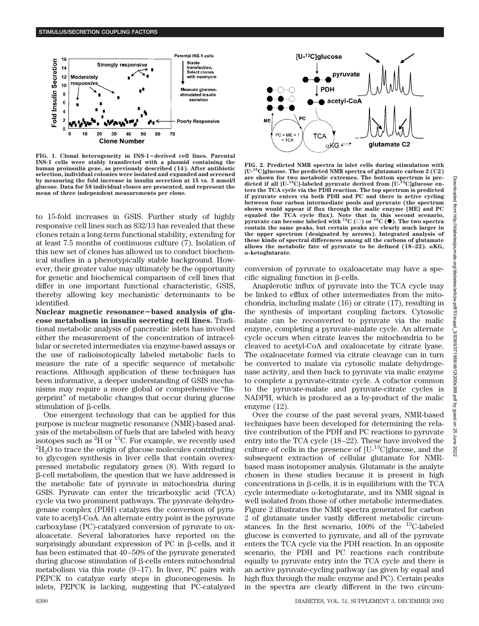

**FIG. 1. Clonal heterogeneity in INS-1**-**derived cell lines. Parental INS-1 cells were stably transfected with a plasmid containing the human proinsulin gene, as previously described (14). After antibiotic selection, individual colonies were isolated and expanded and screened by measuring the fold increase in insulin secretion at 15 vs. 3 mmol/l glucose. Data for 58 individual clones are presented, and represent the mean of three independent measurements per clone.**

to 15-fold increases in GSIS. Further study of highly responsive cell lines such as 832/13 has revealed that these clones retain a long-term functional stability, extending for at least 7.5 months of continuous culture (7). Isolation of this new set of clones has allowed us to conduct biochemical studies in a phenotypically stable background. However, their greater value may ultimately be the opportunity for genetic and biochemical comparison of cell lines that differ in one important functional characteristic, GSIS, thereby allowing key mechanistic determinants to be identified.

**Nuclear magnetic resonance**-**based analysis of glucose metabolism in insulin secreting cell lines.** Traditional metabolic analysis of pancreatic islets has involved either the measurement of the concentration of intracellular or secreted intermediates via enzyme-based assays or the use of radioisotopically labeled metabolic fuels to measure the rate of a specific sequence of metabolic reactions. Although application of these techniques has been informative, a deeper understanding of GSIS mechanisms may require a more global or comprehensive "fingerprint" of metabolic changes that occur during glucose stimulation of  $\beta$ -cells.

One emergent technology that can be applied for this purpose is nuclear magnetic resonance (NMR)-based analysis of the metabolism of fuels that are labeled with heavy isotopes such as  ${}^{2}$ H or  ${}^{13}$ C. For example, we recently used  $^{2}H_{2}O$  to trace the origin of glucose molecules contributing to glycogen synthesis in liver cells that contain overexpressed metabolic regulatory genes (8). With regard to -cell metabolism, the question that we have addressed is the metabolic fate of pyruvate in mitochondria during GSIS. Pyruvate can enter the tricarboxylic acid (TCA) cycle via two prominent pathways. The pyruvate dehydrogenase complex (PDH) catalyzes the conversion of pyruvate to acetyl-CoA. An alternate entry point is the pyruvate carboxylase (PC)-catalyzed conversion of pyruvate to oxaloacetate. Several laboratories have reported on the surprisingly abundant expression of PC in  $\beta$ -cells, and it has been estimated that 40–50% of the pyruvate generated during glucose stimulation of  $\beta$ -cells enters mitochondrial metabolism via this route  $(9-17)$ . In liver, PC pairs with PEPCK to catalyze early steps in gluconeogenesis. In islets, PEPCK is lacking, suggesting that PC-catalyzed



**FIG. 2. Predicted NMR spectra in islet cells during stimulation with [U-13C]glucose. The predicted NMR spectra of glutamate carbon 2 (C2) are shown for two metabolic extremes. The bottom spectrum is pre-dicted if all [U-13C]-labeled pyruvate derived from [U-13C]glucose enters the TCA cycle via the PDH reaction. The top spectrum is predicted if pyruvate enters via both PDH and PC and there is active cycling between four carbon intermediate pools and pyruvate (the spectrum shown would appear if flux through the malic enzyme [ME] and PC equaled the TCA cycle flux). Note that in this second scenario, pyruvate can become labeled with 12C (**E**) or 13C (**F**). The two spectra contain the same peaks, but certain peaks are clearly much larger in the upper spectrum (designated by arrows). Integrated analysis of these kinds of spectral differences among all the carbons of glutamate** allows the metabolic fate of pyruvate to be defined  $(18-22)$ .  $\alpha$ KG, **-ketoglutarate.**

conversion of pyruvate to oxaloacetate may have a specific signaling function in  $\beta$ -cells.

Anaplerotic influx of pyruvate into the TCA cycle may be linked to efflux of other intermediates from the mitochondria, including malate (16) or citrate (17), resulting in the synthesis of important coupling factors. Cytosolic malate can be reconverted to pyruvate via the malic enzyme, completing a pyruvate-malate cycle. An alternate cycle occurs when citrate leaves the mitochondria to be cleaved to acetyl-CoA and oxaloacetate by citrate lyase. The oxaloacetate formed via citrate cleavage can in turn be converted to malate via cytosolic malate dehydrogenase activity, and then back to pyruvate via malic enzyme to complete a pyruvate-citrate cycle. A cofactor common to the pyruvate-malate and pyruvate-citrate cycles is NADPH, which is produced as a by-product of the malic enzyme (12).

Over the course of the past several years, NMR-based techniques have been developed for determining the relative contribution of the PDH and PC reactions to pyruvate entry into the TCA cycle (18–22). These have involved the culture of cells in the presence of [U-13C]glucose, and the subsequent extraction of cellular glutamate for NMRbased mass isotopomer analysis. Glutamate is the analyte chosen in these studies because it is present in high concentrations in  $\beta$ -cells, it is in equilibrium with the TCA cycle intermediate  $\alpha$ -ketoglutarate, and its NMR signal is well isolated from those of other metabolic intermediates. Figure 2 illustrates the NMR spectra generated for carbon 2 of glutamate under vastly different metabolic circumstances. In the first scenario,  $100\%$  of the <sup>13</sup>C-labeled glucose is converted to pyruvate, and all of the pyruvate enters the TCA cycle via the PDH reaction. In an opposite scenario, the PDH and PC reactions each contribute equally to pyruvate entry into the TCA cycle and there is an active pyruvate-cycling pathway (as given by equal and high flux through the malic enzyme and PC). Certain peaks in the spectra are clearly different in the two circum-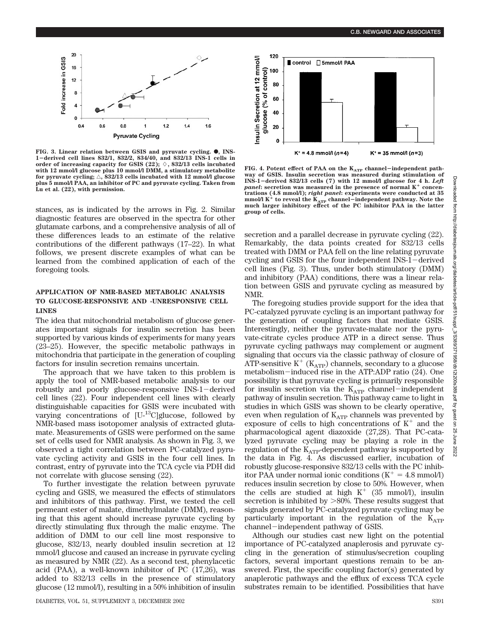

FIG. 3. Linear relation between GSIS and pyruvate cycling.  $\bullet$ , INS-**1**-**derived cell lines 832/1, 832/2, 834/40, and 832/13 INS-1 cells in** order of increasing capacity for GSIS  $(22)$ ;  $\Diamond$ , 832/13 cells incubated **with 12 mmol/l glucose plus 10 mmol/l DMM, a stimulatory metabolite** for pyruvate cycling;  $\triangle$ , 832/13 cells incubated with 12 mmol/l glucose **plus 5 mmol/l PAA, an inhibitor of PC and pyruvate cycling. Taken from Lu et al. (22), with permission.**

stances, as is indicated by the arrows in Fig. 2. Similar diagnostic features are observed in the spectra for other glutamate carbons, and a comprehensive analysis of all of these differences leads to an estimate of the relative contributions of the different pathways (17–22). In what follows, we present discrete examples of what can be learned from the combined application of each of the foregoing tools.

### **APPLICATION OF NMR-BASED METABOLIC ANALYSIS TO GLUCOSE-RESPONSIVE AND -UNRESPONSIVE CELL LINES**

The idea that mitochondrial metabolism of glucose generates important signals for insulin secretion has been supported by various kinds of experiments for many years (23–25). However, the specific metabolic pathways in mitochondria that participate in the generation of coupling factors for insulin secretion remains uncertain.

The approach that we have taken to this problem is apply the tool of NMR-based metabolic analysis to our robustly and poorly glucose-responsive  $INS-1$ -derived cell lines (22). Four independent cell lines with clearly distinguishable capacities for GSIS were incubated with varying concentrations of  $[U^{-13}C]$ glucose, followed by NMR-based mass isotopomer analysis of extracted glutamate. Measurements of GSIS were performed on the same set of cells used for NMR analysis. As shown in Fig. 3, we observed a tight correlation between PC-catalyzed pyruvate cycling activity and GSIS in the four cell lines. In contrast, entry of pyruvate into the TCA cycle via PDH did not correlate with glucose sensing (22).

To further investigate the relation between pyruvate cycling and GSIS, we measured the effects of stimulators and inhibitors of this pathway. First, we tested the cell permeant ester of malate, dimethylmalate (DMM), reasoning that this agent should increase pyruvate cycling by directly stimulating flux through the malic enzyme. The addition of DMM to our cell line most responsive to glucose, 832/13, nearly doubled insulin secretion at 12 mmol/l glucose and caused an increase in pyruvate cycling as measured by NMR (22). As a second test, phenylacetic acid (PAA), a well-known inhibitor of PC (17,26), was added to 832/13 cells in the presence of stimulatory glucose (12 mmol/l), resulting in a 50% inhibition of insulin



FIG. 4. Potent effect of PAA on the K<sub>ATP</sub> channel—independent path**way of GSIS. Insulin secretion was measured during stimulation of INS-1**-**derived 832/13 cells (7) with 12 mmol/l glucose for 4 h.** *Left panel***: secretion was measured in the presence of normal K concentrations (4.8 mmol/l);** *right panel***: experiments were conducted at 35 mmol/l**  $K^+$  to reveal the  $K_{ATP}$  channel-independent pathway. Note the **much larger inhibitory effect of the PC inhibitor PAA in the latter group of cells.**

secretion and a parallel decrease in pyruvate cycling (22). Remarkably, the data points created for 832/13 cells treated with DMM or PAA fell on the line relating pyruvate cycling and GSIS for the four independent  $INS-1$  derived cell lines (Fig. 3). Thus, under both stimulatory (DMM) and inhibitory (PAA) conditions, there was a linear relation between GSIS and pyruvate cycling as measured by NMR.

The foregoing studies provide support for the idea that PC-catalyzed pyruvate cycling is an important pathway for the generation of coupling factors that mediate GSIS. Interestingly, neither the pyruvate-malate nor the pyruvate-citrate cycles produce ATP in a direct sense. Thus pyruvate cycling pathways may complement or augment signaling that occurs via the classic pathway of closure of ATP-sensitive  $K^+$  ( $K_{ATP}$ ) channels, secondary to a glucose metabolism-induced rise in the ATP:ADP ratio (24). One possibility is that pyruvate cycling is primarily responsible for insulin secretion via the  $K_{ATP}$  channel-independent pathway of insulin secretion. This pathway came to light in studies in which GSIS was shown to be clearly operative, even when regulation of  $K_{ATP}$  channels was prevented by exposure of cells to high concentrations of  $K^+$  and the pharmacological agent diazoxide (27,28). That PC-catalyzed pyruvate cycling may be playing a role in the regulation of the  $K_{ATP}$ -dependent pathway is supported by the data in Fig. 4. As discussed earlier, incubation of robustly glucose-responsive 832/13 cells with the PC inhibitor PAA under normal ionic conditions  $(K^+ = 4.8 \text{ mmol/l})$ reduces insulin secretion by close to 50%. However, when the cells are studied at high  $K^+$  (35 mmol/l), insulin secretion is inhibited by  $>80\%$ . These results suggest that signals generated by PC-catalyzed pyruvate cycling may be particularly important in the regulation of the  $K_{ATP}$ channel – independent pathway of GSIS.

Although our studies cast new light on the potential importance of PC-catalyzed anaplerosis and pyruvate cycling in the generation of stimulus/secretion coupling factors, several important questions remain to be answered. First, the specific coupling factor(s) generated by anaplerotic pathways and the efflux of excess TCA cycle substrates remain to be identified. Possibilities that have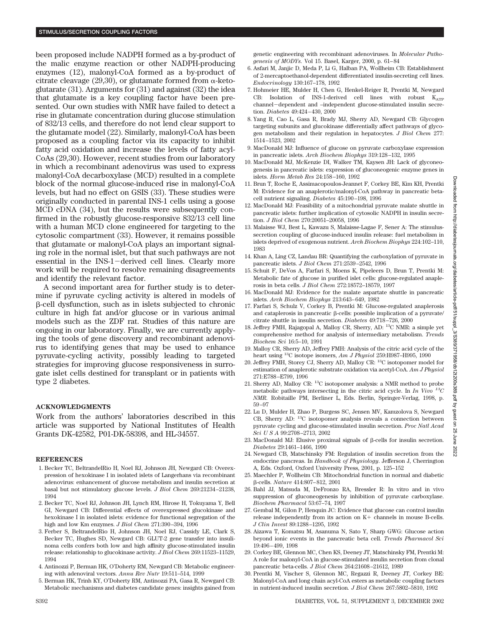been proposed include NADPH formed as a by-product of the malic enzyme reaction or other NADPH-producing enzymes (12), malonyl-CoA formed as a by-product of citrate cleavage (29,30), or glutamate formed from  $\alpha$ -ketoglutarate (31). Arguments for (31) and against (32) the idea that glutamate is a key coupling factor have been presented. Our own studies with NMR have failed to detect a rise in glutamate concentration during glucose stimulation of 832/13 cells, and therefore do not lend clear support to the glutamate model (22). Similarly, malonyl-CoA has been proposed as a coupling factor via its capacity to inhibit fatty acid oxidation and increase the levels of fatty acyl-CoAs (29,30). However, recent studies from our laboratory in which a recombinant adenovirus was used to express malonyl-CoA decarboxylase (MCD) resulted in a complete block of the normal glucose-induced rise in malonyl-CoA levels, but had no effect on GSIS (33). These studies were originally conducted in parental INS-1 cells using a goose MCD cDNA (34), but the results were subsequently confirmed in the robustly glucose-responsive 832/13 cell line with a human MCD clone engineered for targeting to the cytosolic compartment (33). However, it remains possible that glutamate or malonyl-CoA plays an important signaling role in the normal islet, but that such pathways are not essential in the INS-1-derived cell lines. Clearly more work will be required to resolve remaining disagreements and identify the relevant factor.

A second important area for further study is to determine if pyruvate cycling activity is altered in models of  $\beta$ -cell dysfunction, such as in islets subjected to chronic culture in high fat and/or glucose or in various animal models such as the ZDF rat. Studies of this nature are ongoing in our laboratory. Finally, we are currently applying the tools of gene discovery and recombinant adenovirus to identifying genes that may be used to enhance pyruvate-cycling activity, possibly leading to targeted strategies for improving glucose responsiveness in surrogate islet cells destined for transplant or in patients with type 2 diabetes.

#### **ACKNOWLEDGMENTS**

Work from the authors' laboratories described in this article was supported by National Institutes of Health Grants DK-42582, P01-DK-58398, and HL-34557.

#### **REFERENCES**

- 1. Becker TC, BeltrandelRio H, Noel RJ, Johnson JH, Newgard CB: Overexpression of hexokinase I in isolated islets of Langerhans via recombinant adenovirus: enhancement of glucose metabolism and insulin secretion at basal but not stimulatory glucose levels. *J Biol Chem* 269:21234–21238, 1994
- 2. Becker TC, Noel RJ, Johnson JH, Lynch RM, Hirose H, Tokuyama Y, Bell GI, Newgard CB: Differential effects of overexpressed glucokinase and hexokinase I in isolated islets: evidence for functional segregation of the high and low Km enzymes. *J Biol Chem* 271:390–394, 1996
- 3. Ferber S, BeltrandelRio H, Johnson JH, Noel RJ, Cassidy LE, Clark S, Becker TC, Hughes SD, Newgard CB: GLUT-2 gene transfer into insulinoma cells confers both low and high affinity glucose-stimulated insulin release: relationship to glucokinase activity. *J Biol Chem* 269:11523–11529, 1994
- 4. Antinozzi P, Berman HK, O'Doherty RM, Newgard CB: Metabolic engineering with adenoviral vectors. *Annu Rev Nutr* 19:511–514, 1999
- 5. Berman HK, Trinh KY, O'Doherty RM, Antinozzi PA, Gasa R, Newgard CB: Metabolic mechanisms and diabetes candidate genes: insights gained from

genetic engineering with recombinant adenoviruses. In *Molecular Pathogenesis of MODYs.* Vol 15. Basel, Karger, 2000, p. 61–84

- 6. Asfari M, Janjic D, Meda P, Li G, Halban PA, Wollheim CB: Establishment of 2-mercaptoethanol-dependent differentiated insulin-secreting cell lines. *Endocrinology* 130:167–178, 1992
- 7. Hohmeier HE, Mulder H, Chen G, Henkel-Reiger R, Prentki M, Newgard CB: Isolation of INS-1-derived cell lines with robust  $K_{ATP}$ channel-dependent and -independent glucose-stimulated insulin secretion. *Diabetes* 49:424–430, 2000
- 8. Yang R, Cao L, Gasa R, Brady MJ, Sherry AD, Newgard CB: Glycogen targeting subunits and glucokinase differentially affect pathways of glycogen metabolism and their regulation in hepatocytes. *J Biol Chem* 277: 1514–1523, 2002
- 9. MacDonald MJ: Influence of glucose on pyruvate carboxylase expression in pancreatic islets. *Arch Biochem Biophys* 319:128–132, 1995
- 10. MacDonald MJ, McKenzie DI, Walker TM, Kaysen JH: Lack of glyconeogenesis in pancreatic islets: expression of gluconeogenic enzyme genes in islets. *Horm Metab Res* 24:158–160, 1992
- 11. Brun T, Roche E, Assimacopoulos-Jeannet F, Corkey BE, Kim KH, Prentki M: Evidence for an anaplerotic/malonyl-CoA pathway in pancreatic betacell nutrient signaling. *Diabetes* 45:190–198, 1996
- 12. MacDonald MJ: Feasibility of a mitochondrial pyruvate malate shuttle in pancreatic islets: further implication of cytosolic NADPH in insulin secretion. *J Biol Chem* 270:20051–20058, 1996
- 13. Malaisse WJ, Best L, Kawazu S, Malaisse-Lagae F, Sener A: The stimulussecretion coupling of glucose-induced insulin release: fuel metabolism in islets deprived of exogenous nutrient. *Arch Biochem Biophys* 224:102–110, 1983
- 14. Khan A, Ling CZ, Landau BR: Quantifying the carboxylation of pyruvate in pancreatic islets. *J Biol Chem* 271:2539–2542, 1996
- 15. Schuit F, DeVos A, Farfari S, Moens K, Pipeleers D, Brun T, Prentki M: Metabolic fate of glucose in purified islet cells: glucose-regulated anaplerosis in beta cells. *J Biol Chem* 272:18572–18579, 1997
- 16. MacDonald MJ: Evidence for the malate aspartate shuttle in pancreatic islets. *Arch Biochem Biophys* 213:643–649, 1982
- 17. Farfari S, Schulz V, Corkey B, Prentki M: Glucose-regulated anaplerosis and cataplerosis in pancreatic  $\beta$ -cells: possible implication of a pyruvate/ citrate shuttle in insulin secretion. *Diabetes* 49:718–726, 2000
- 18. Jeffrey FMH, Rajagopal A, Malloy CR, Sherry, AD: 13C NMR: a simple yet comprehensive method for analysis of intermediary metabolism. *Trends Biochem Sci* 16:5–10, 1991
- 19. Malloy CR, Sherry AD, Jeffrey FMH: Analysis of the citric acid cycle of the heart using 13C isotope isomers, *Am J Physiol* 259:H987–H995, 1990
- 20. Jeffrey FMH, Storey CJ, Sherry AD, Malloy CR: 13C isotopomer model for estimation of anaplerotic substrate oxidation via acetyl-CoA. *Am J Physiol* 271:E788–E799, 1996
- 21. Sherry AD, Malloy CR: 13C isotopomer analysis: a NMR method to probe metabolic pathways intersecting in the citric acid cycle. In *In Vivo 13C NMR.* Robitaille PM, Berliner L, Eds. Berlin, Springer-Verlag, 1998, p. 59–97
- 22. Lu D, Mulder H, Zhao P, Burgess SC, Jensen MV, Kamzolova S, Newgard CB, Sherry AD: 13C isotopomer analysis reveals a connection between pyruvate cycling and glucose-stimulated insulin secretion. *Proc Natl Acad Sci U S A* 99:2708–2713, 2002
- 23. MacDonald MJ: Elusive proximal signals of  $\beta$ -cells for insulin secretion. *Diabetes* 29:1461–1466, 1990
- 24. Newgard CB, Matschinsky FM: Regulation of insulin secretion from the endocrine pancreas. In *Handbook of Physiology*. Jefferson J, Cherrington A, Eds. Oxford, Oxford University Press, 2001, p. 125–152
- 25. Maechler P, Wollheim CB: Mitochondrial function in normal and diabetic -cells. *Nature* 414:807–812, 2001
- 26. Bahl JJ, Matsuda M, DeFronzo RA, Bressler R: In vitro and in vivo suppression of gluconeogenesis by inhibition of pyruvate carboxylase. *Biochem Pharmacol* 53:67–74, 1997
- 27. Gembal M, Gilon P, Henquin JC: Evidence that glucose can control insulin release independently from its action on  $K<sup>+</sup>$  channels in mouse B-cells. *J Clin Invest* 89:1288–1295, 1992
- 28. Aizawa T, Komatsu M, Asanuma N, Sato Y, Sharp GWG: Glucose action beyond ionic events in the pancreatic beta cell. *Trends Pharmacol Sci* 19:496–499, 1998
- 29. Corkey BE, Glennon MC, Chen KS, Deeney JT, Matschinsky FM, Prentki M: A role for malonyl-CoA in glucose-stimulated insulin secretion from clonal pancreatic beta-cells. *J Biol Chem* 264:21608–21612, 1989
- 30. Prentki M, Vischer S, Glennon MC, Regazzi R, Deeney JT, Corkey BE: Malonyl-CoA and long chain acyl-CoA esters as metabolic coupling factors in nutrient-induced insulin secretion*. J Biol Chem* 267:5802–5810, 1992